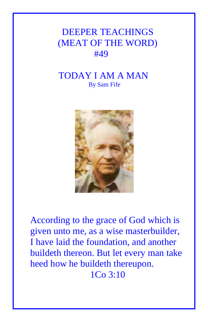## DEEPER TEACHINGS (MEAT OF THE WORD) #49

## TODAY I AM A MAN By Sam Fife



According to the grace of God which is given unto me, as a wise masterbuilder, I have laid the foundation, and another buildeth thereon. But let every man take heed how he buildeth thereupon. 1Co 3:10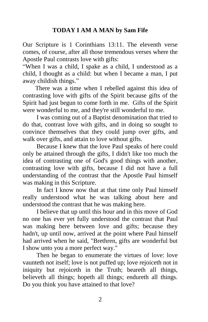## **TODAY I AM A MAN by Sam Fife**

Our Scripture is 1 Corinthians 13:11. The eleventh verse comes, of course, after all those tremendous verses where the Apostle Paul contrasts love with gifts:

"When I was a child, I spake as a child, I understood as a child, I thought as a child: but when I became a man, I put away childish things."

 There was a time when I rebelled against this idea of contrasting love with gifts of the Spirit because gifts of the Spirit had just begun to come forth in me. Gifts of the Spirit were wonderful to me, and they're still wonderful to me.

 I was coming out of a Baptist denomination that tried to do that, contrast love with gifts, and in doing so sought to convince themselves that they could jump over gifts, and walk over gifts, and attain to love without gifts.

 Because I knew that the love Paul speaks of here could only be attained through the gifts, I didn't like too much the idea of contrasting one of God's good things with another, contrasting love with gifts, because I did not have a full understanding of the contrast that the Apostle Paul himself was making in this Scripture.

 In fact I know now that at that time only Paul himself really understood what he was talking about here and understood the contrast that he was making here.

 I believe that up until this hour and in this move of God no one has ever yet fully understood the contrast that Paul was making here between love and gifts; because they hadn't, up until now, arrived at the point where Paul himself had arrived when he said, "Brethren, gifts are wonderful but I show unto you a more perfect way."

 Then he began to enumerate the virtues of love: love vaunteth not itself; love is not puffed up; love rejoiceth not in iniquity but rejoiceth in the Truth; beareth all things, believeth all things; hopeth all things; endureth all things. Do you think you have attained to that love?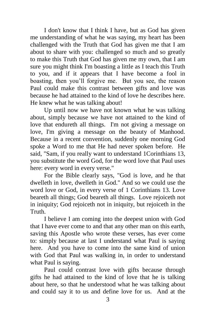I don't know that I think I have, but as God has given me understanding of what he was saying, my heart has been challenged with the Truth that God has given me that I am about to share with you: challenged so much and so greatly to make this Truth that God has given me my own, that I am sure you might think I'm boasting a little as I teach this Truth to you, and if it appears that I have become a fool in boasting, then you'll forgive me. But you see, the reason Paul could make this contrast between gifts and love was because he had attained to the kind of love he describes here. He knew what he was talking about!

 Up until now we have not known what he was talking about, simply because we have not attained to the kind of love that endureth all things. I'm not giving a message on love, I'm giving a message on the beauty of Manhood. Because in a recent convention, suddenly one morning God spoke a Word to me that He had never spoken before. He said, "Sam, if you really want to understand 1Corinthians 13, you substitute the word God, for the word love that Paul uses here: every word in every verse."

 For the Bible clearly says, "God is love, and he that dwelleth in love, dwelleth in God." And so we could use the word love or God, in every verse of 1 Corinthians 13. Love beareth all things; God beareth all things. Love rejoiceth not in iniquity; God rejoiceth not in iniquity, but rejoiceth in the Truth.

 I believe I am coming into the deepest union with God that I have ever come to and that any other man on this earth, saving this Apostle who wrote these verses, has ever come to: simply because at last I understand what Paul is saying here. And you have to come into the same kind of union with God that Paul was walking in, in order to understand what Paul is saying.

 Paul could contrast love with gifts because through gifts he had attained to the kind of love that he is talking about here, so that he understood what he was talking about and could say it to us and define love for us. And at the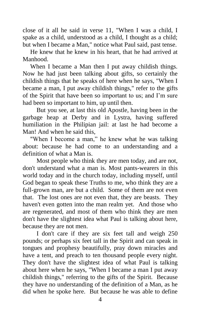close of it all he said in verse 11, "When I was a child, I spake as a child, understood as a child, I thought as a child; but when I became a Man," notice what Paul said, past tense.

He knew that he knew in his heart, that he had arrived at Manhood.

When I became a Man then I put away childish things. Now he had just been talking about gifts, so certainly the childish things that he speaks of here when he says, "When I became a man, I put away childish things," refer to the gifts of the Spirit that have been so important to us; and I'm sure had been so important to him, up until then.

 But you see, at last this old Apostle, having been in the garbage heap at Derby and in Lystra, having suffered humiliation in the Philipian jail: at last he had become a Man! And when he said this,

"When I become a man," he knew what he was talking about: because he had come to an understanding and a definition of what a Man is.

 Most people who think they are men today, and are not, don't understand what a man is. Most pants-wearers in this world today and in the church today, including myself, until God began to speak these Truths to me, who think they are a full-grown man, are but a child. Some of them are not even that. The lost ones are not even that, they are beasts. They haven't even gotten into the man realm yet. And those who are regenerated, and most of them who think they are men don't have the slightest idea what Paul is talking about here, because they are not men.

 I don't care if they are six feet tall and weigh 250 pounds; or perhaps six feet tall in the Spirit and can speak in tongues and prophesy beautifully, pray down miracles and have a tent, and preach to ten thousand people every night. They don't have the slightest idea of what Paul is talking about here when he says, "When I became a man I put away childish things," referring to the gifts of the Spirit. Because they have no understanding of the definition of a Man, as he did when he spoke here. But because he was able to define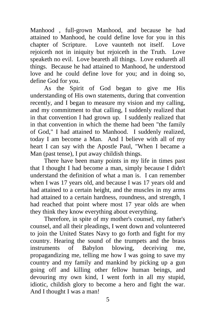Manhood , full-grown Manhood, and because he had attained to Manhood, he could define love for you in this chapter of Scripture. Love vaunteth not itself. Love rejoiceth not in iniquity but rejoiceth in the Truth. Love speaketh no evil. Love beareth all things. Love endureth all things. Because he had attained to Manhood, he understood love and he could define love for you; and in doing so, define God for you.

 As the Spirit of God began to give me His understanding of His own statements, during that convention recently, and I began to measure my vision and my calling, and my commitment to that calling, I suddenly realized that in that convention I had grown up. I suddenly realized that in that convention in which the theme had been "the family of God," I had attained to Manhood. I suddenly realized, today I am become a Man. And I believe with all of my heart I can say with the Apostle Paul, "When I became a Man (past tense), I put away childish things.

 There have been many points in my life in times past that I thought I had become a man, simply because I didn't understand the definition of what a man is. I can remember when I was 17 years old, and because I was 17 years old and had attained to a certain height, and the muscles in my arms had attained to a certain hardness, roundness, and strength, I had reached that point where most 17 year olds are when they think they know everything about everything.

 Therefore, in spite of my mother's counsel, my father's counsel, and all their pleadings, I went down and volunteered to join the United States Navy to go forth and fight for my country. Hearing the sound of the trumpets and the brass instruments of Babylon blowing, deceiving me, propagandizing me, telling me how I was going to save my country and my family and mankind by picking up a gun going off and killing other fellow human beings, and devouring my own kind, I went forth in all my stupid, idiotic, childish glory to become a hero and fight the war. And I thought I was a man!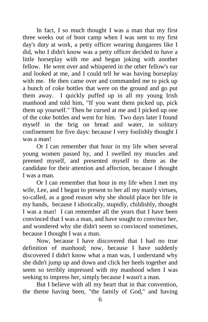In fact, I so much thought I was a man that my first three weeks out of boot camp when I was sent to my first day's duty at work, a petty officer wearing dungarees like I did, who I didn't know was a petty officer decided to have a little horseplay with me and began joking with another fellow. He went over and whispered in the other fellow's ear and looked at me, and I could tell he was having horseplay with me. He then came over and commanded me to pick up a bunch of coke bottles that were on the ground and go put them away. I quickly puffed up in all my young Irish manhood and told him, "If you want them picked up, pick them up yourself." Then he cursed at me and I picked up one of the coke bottles and went for him. Two days later I found myself in the brig on bread and water, in solitary confinement for five days: because I very foolishly thought I was a man!

 Or I can remember that hour in my life when several young women passed by, and I swelled my muscles and preened myself, and presented myself to them as the candidate for their attention and affection, because I thought I was a man.

 Or I can remember that hour in my life when I met my wife, Lee, and I began to present to her all my manly virtues, so-called, as a good reason why she should place her life in my hands, because I idiotically, stupidly, childishly, thought I was a man! I can remember all the years that I have been convinced that I was a man, and have sought to convince her, and wondered why she didn't seem so convinced sometimes, because I thought I was a man.

 Now, because I have discovered that I had no true definition of manhood; now, because I have suddenly discovered I didn't know what a man was, I understand why she didn't jump up and down and click her heels together and seem so terribly impressed with my manhood when I was seeking to impress her, simply because I wasn't a man.

 But I believe with all my heart that in that convention, the theme having been, "the family of God," and having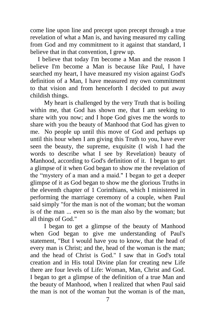come line upon line and precept upon precept through a true revelation of what a Man is, and having measured my calling from God and my commitment to it against that standard, I believe that in that convention, I grew up.

I believe that today I'm become a Man and the reason I believe I'm become a Man is because like Paul, I have searched my heart, I have measured my vision against God's definition of a Man, I have measured my own commitment to that vision and from henceforth I decided to put away childish things.

 My heart is challenged by the very Truth that is boiling within me, that God has shown me, that I am seeking to share with you now; and I hope God gives me the words to share with you the beauty of Manhood that God has given to me. No people up until this move of God and perhaps up until this hour when I am giving this Truth to you, have ever seen the beauty, the supreme, exquisite (I wish I had the words to describe what I see by Revelation) beauty of Manhood, according to God's definition of it. I began to get a glimpse of it when God began to show me the revelation of the "mystery of a man and a maid." I began to get a deeper glimpse of it as God began to show me the glorious Truths in the eleventh chapter of 1 Corinthians, which I ministered in performing the marriage ceremony of a couple, when Paul said simply "for the man is not of the woman; but the woman is of the man ... even so is the man also by the woman; but all things of God."

 I began to get a glimpse of the beauty of Manhood when God began to give me understanding of Paul's statement, "But I would have you to know, that the head of every man is Christ; and the, head of the woman is the man; and the head of Christ is God." I saw that in God's total creation and in His total Divine plan for creating new Life there are four levels of Life: Woman, Man, Christ and God. I began to get a glimpse of the definition of a true Man and the beauty of Manhood, when I realized that when Paul said the man is not of the woman but the woman is of the man,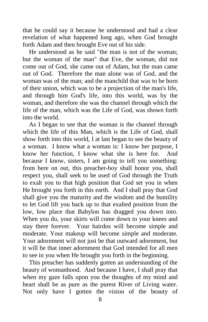that he could say it because he understood and had a clear revelation of what happened long ago, when God brought forth Adam and then brought Eve out of his side.

 He understood as he said "the man is not of the woman; but the woman of the man" that Eve, the woman, did not come out of God, she came out of Adam, but the man came out of God. Therefore the man alone was of God, and the woman was of the man; and the manchild that was to be born of their union, which was to be a projection of the man's life, and through him God's life, into this world, was by the woman, and therefore she was the channel through which the life of the man, which was the Life of God, was shown forth into the world.

 As I began to see that the woman is the channel through which the life of this Man, which is the Life of God, shall show forth into this world, I at last began to see the beauty of a woman. I know what a woman is: I know her purpose, I know her function, I know what she is here for. And because I know, sisters, I am going to tell you something: from here on out, this preacher-boy shall honor you, shall respect you, shall seek to be used of God through the Truth to exalt you to that high position that God set you in when He brought you forth in this earth. And I shall pray that God shall give you the maturity and the wisdom and the humility to let God lift you back up to that exalted position from the low, low place that Babylon has dragged you down into. When you do, your skirts will come down to your knees and stay there forever. Your hairdos will become simple and moderate. Your makeup will become simple and moderate. Your adornment will not just be that outward adornment, but it will be that inner adornment that God intended for all men to see in you when He brought you forth in the beginning.

 This preacher has suddenly gotten an understanding of the beauty of womanhood. And because I have, I shall pray that when my gaze falls upon you the thoughts of my mind and heart shall be as pure as the purest River of Living water. Not only have I gotten the vision of the beauty of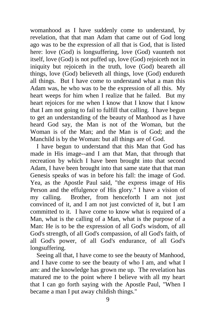womanhood as I have suddenly come to understand, by revelation, that that man Adam that came out of God long ago was to be the expression of all that is God, that is listed here: love (God) is longsuffering, love (God) vaunteth not itself, love (God) is not puffed up, love (God) rejoiceth not in iniquity but rejoiceth in the truth, love (God) beareth all things, love (God) believeth all things, love (God) endureth all things. But I have come to understand what a man this Adam was, he who was to be the expression of all this. My heart weeps for him when I realize that he failed. But my heart rejoices for me when I know that I know that I know that I am not going to fail to fulfill that calling. I have begun to get an understanding of the beauty of Manhood as I have heard God say, the Man is not of the Woman, but the Woman is of the Man; and the Man is of God; and the Manchild is by the Woman: but all things are of God.

 I have begun to understand that this Man that God has made in His image--and I am that Man, that through that recreation by which I have been brought into that second Adam, I have been brought into that same state that that man Genesis speaks of was in before his fall: the image of God. Yea, as the Apostle Paul said, "the express image of His Person and the effulgence of His glory." I have a vision of my calling. Brother, from henceforth I am not just convinced of it, and I am not just convicted of it, but I am committed to it. I have come to know what is required of a Man, what is the calling of a Man, what is the purpose of a Man: He is to be the expression of all God's wisdom, of all God's strength, of all God's compassion, of all God's faith, of all God's power, of all God's endurance, of all God's longsuffering.

 Seeing all that, I have come to see the beauty of Manhood, and I have come to see the beauty of who I am, and what I am: and the knowledge has grown me up. The revelation has matured me to the point where I believe with all my heart that I can go forth saying with the Apostle Paul, "When I became a man I put away childish things."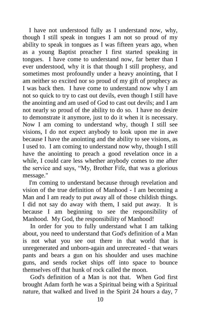I have not understood fully as I understand now, why, though I still speak in tongues I am not so proud of my ability to speak in tongues as I was fifteen years ago, when as a young Baptist preacher I first started speaking in tongues. I have come to understand now, far better than I ever understood, why it is that though I still prophesy, and sometimes most profoundly under a heavy anointing, that I am neither so excited nor so proud of my gift of prophecy as I was back then. I have come to understand now why I am not so quick to try to cast out devils, even though I still have the anointing and am used of God to cast out devils; and I am not nearly so proud of the ability to do so. I have no desire to demonstrate it anymore, just to do it when it is necessary. Now I am coming to understand why, though I still see visions, I do not expect anybody to look upon me in awe because I have the anointing and the ability to see visions, as I used to. I am coming to understand now why, though I still have the anointing to preach a good revelation once in a while, I could care less whether anybody comes to me after the service and says, "My, Brother Fife, that was a glorious message."

 I'm coming to understand because through revelation and vision of the true definition of Manhood - I am becoming a Man and I am ready to put away all of those childish things. I did not say do away with them, I said put away. It is because I am beginning to see the responsibility of Manhood. My God, the responsibility of Manhood!

In order for you to fully understand what I am talking about, you need to understand that God's definition of a Man is not what you see out there in that world that is unregenerated and unborn-again and unrecreated - that wears pants and bears a gun on his shoulder and uses machine guns, and sends rocket ships off into space to bounce themselves off that hunk of rock called the moon.

God's definition of a Man is not that. When God first brought Adam forth he was a Spiritual being with a Spiritual nature, that walked and lived in the Spirit 24 hours a day, 7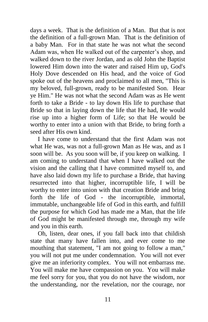days a week. That is the definition of a Man. But that is not the definition of a full-grown Man. That is the definition of a baby Man. For in that state he was not what the second Adam was, when He walked out of the carpenter's shop, and walked down to the river Jordan, and as old John the Baptist lowered Him down into the water and raised Him up, God's Holy Dove descended on His head, and the voice of God spoke out of the heavens and proclaimed to all men, "This is my beloved, full-grown, ready to be manifested Son. Hear ye Him." He was not what the second Adam was as He went forth to take a Bride - to lay down His life to purchase that Bride so that in laying down the life that He had, He would rise up into a higher form of Life; so that He would be worthy to enter into a union with that Bride, to bring forth a seed after His own kind.

I have come to understand that the first Adam was not what He was, was not a full-grown Man as He was, and as I soon will be. As you soon will be, if you keep on walking. I am coming to understand that when I have walked out the vision and the calling that I have committed myself to, and have also laid down my life to purchase a Bride, that having resurrected into that higher, incorruptible life, I will be worthy to enter into union with that creation Bride and bring forth the life of God - the incorruptible, immortal, immutable, unchangeable life of God in this earth, and fulfill the purpose for which God has made me a Man, that the life of God might be manifested through me, through my wife and you in this earth.

Oh, listen, dear ones, if you fall back into that childish state that many have fallen into, and ever come to me mouthing that statement, "I am not going to follow a man," you will not put me under condemnation. You will not ever give me an inferiority complex. You will not embarrass me. You will make me have compassion on you. You will make me feel sorry for you, that you do not have the wisdom, nor the understanding, nor the revelation, nor the courage, nor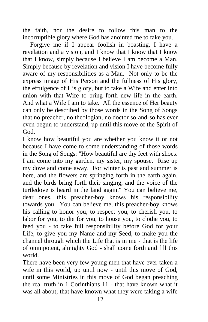the faith, nor the desire to follow this man to the incorruptible glory where God has anointed me to take you.

Forgive me if I appear foolish in boasting, I have a revelation and a vision, and I know that I know that I know that I know, simply because I believe I am become a Man. Simply because by revelation and vision I have become fully aware of my responsibilities as a Man. Not only to be the express image of His Person and the fullness of His glory, the effulgence of His glory, but to take a Wife and enter into union with that Wife to bring forth new life in the earth. And what a Wife I am to take. All the essence of Her beauty can only be described by those words in the Song of Songs that no preacher, no theologian, no doctor so-and-so has ever even begun to understand, up until this move of the Spirit of God.

I know how beautiful you are whether you know it or not because I have come to some understanding of those words in the Song of Songs: "How beautiful are thy feet with shoes. I am come into my garden, my sister, my spouse. Rise up my dove and come away. For winter is past and summer is here, and the flowers are springing forth in the earth again, and the birds bring forth their singing, and the voice of the turtledove is heard in the land again." You can believe me, dear ones, this preacher-boy knows his responsibility towards you. You can believe me, this preacher-boy knows his calling to honor you, to respect you, to cherish you, to labor for you, to die for you, to house you, to clothe you, to feed you - to take full responsibility before God for your Life, to give you my Name and my Seed, to make you the channel through which the Life that is in me - that is the life of omnipotent, almighty God - shall come forth and fill this world.

There have been very few young men that have ever taken a wife in this world, up until now - until this move of God, until some Ministries in this move of God began preaching the real truth in 1 Corinthians 11 - that have known what it was all about; that have known what they were taking a wife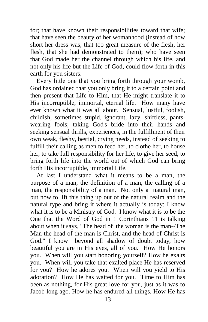for; that have known their responsibilities toward that wife; that have seen the beauty of her womanhood (instead of how short her dress was, that too great measure of the flesh, her flesh, that she had demonstrated to them); who have seen that God made her the channel through which his life, and not only his life but the Life of God, could flow forth in this earth for you sisters.

 Every little one that you bring forth through your womb, God has ordained that you only bring it to a certain point and then present that Life to Him, that He might translate it to His incorruptible, immortal, eternal life. How many have ever known what it was all about. Sensual, lustful, foolish, childish, sometimes stupid, ignorant, lazy, shiftless, pantswearing fools; taking God's bride into their hands and seeking sensual thrills, experiences, in the fulfillment of their own weak, fleshy, bestial, crying needs, instead of seeking to fulfill their calling as men to feed her, to clothe her, to house her, to take full responsibility for her life, to give her seed, to bring forth life into the world out of which God can bring forth His incorruptible, immortal Life.

 At last I understand what it means to be a man, the purpose of a man, the definition of a man, the calling of a man, the responsibility of a man. Not only a natural man, but now to lift this thing up out of the natural realm and the natural type and bring it where it actually is today: I know what it is to be a Ministry of God. I know what it is to be the One that the Word of God in 1 Corinthians 11 is talking about when it says, "The head of the woman is the man--The Man-the head of the man is Christ, and the head of Christ is God." I know beyond all shadow of doubt today, how beautiful you are in His eyes, all of you. How He honors you. When will you start honoring yourself? How he exalts you. When will you take that exalted place He has reserved for you? How he adores you. When will you yield to His adoration? How He has waited for you. Time to Him has been as nothing, for His great love for you, just as it was to Jacob long ago. How he has endured all things. How He has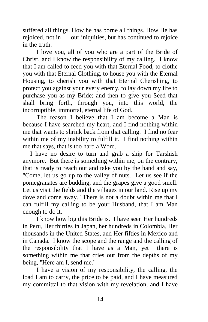suffered all things. How he has borne all things. How He has rejoiced, not in our iniquities, but has continued to rejoice in the truth.

 I love you, all of you who are a part of the Bride of Christ, and I know the responsibility of my calling. I know that I am called to feed you with that Eternal Food, to clothe you with that Eternal Clothing, to house you with the Eternal Housing, to cherish you with that Eternal Cherishing, to protect you against your every enemy, to lay down my life to purchase you as my Bride; and then to give you Seed that shall bring forth, through you, into this world, the incorruptible, immortal, eternal life of God.

 The reason I believe that I am become a Man is because I have searched my heart, and I find nothing within me that wants to shrink back from that calling. I find no fear within me of my inability to fulfill it. I find nothing within me that says, that is too hard a Word.

I have no desire to turn and grab a ship for Tarshish anymore. But there is something within me, on the contrary, that is ready to reach out and take you by the hand and say, "Come, let us go up to the valley of nuts. Let us see if the pomegranates are budding, and the grapes give a good smell. Let us visit the fields and the villages in our land. Rise up my dove and come away." There is not a doubt within me that I can fulfill my calling to be your Husband, that I am Man enough to do it.

 I know how big this Bride is. I have seen Her hundreds in Peru, Her thirties in Japan, her hundreds in Colombia, Her thousands in the United States, and Her fifties in Mexico and in Canada. I know the scope and the range and the calling of the responsibility that I have as a Man, yet there is something within me that cries out from the depths of my being, "Here am I, send me."

 I have a vision of my responsibility, the calling, the load I am to carry, the price to be paid, and I have measured my committal to that vision with my revelation, and I have